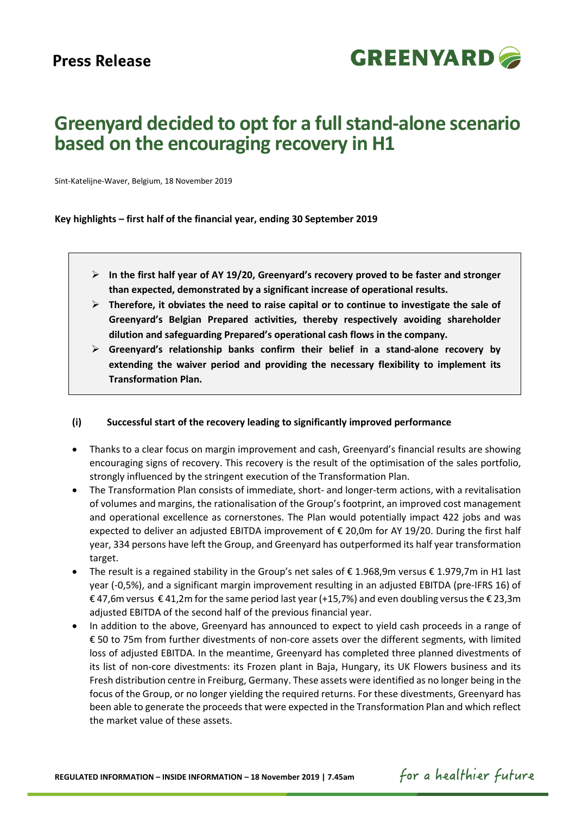

# **Greenyard decided to opt for a full stand-alone scenario based on the encouraging recovery in H1**

Sint-Katelijne-Waver, Belgium, 18 November 2019

**Key highlights – first half of the financial year, ending 30 September 2019**

- **In the first half year of AY 19/20, Greenyard's recovery proved to be faster and stronger than expected, demonstrated by a significant increase of operational results.**
- **Therefore, it obviates the need to raise capital or to continue to investigate the sale of Greenyard's Belgian Prepared activities, thereby respectively avoiding shareholder dilution and safeguarding Prepared's operational cash flows in the company.**
- **Greenyard's relationship banks confirm their belief in a stand-alone recovery by extending the waiver period and providing the necessary flexibility to implement its Transformation Plan.**

#### **(i) Successful start of the recovery leading to significantly improved performance**

- Thanks to a clear focus on margin improvement and cash, Greenyard's financial results are showing encouraging signs of recovery. This recovery is the result of the optimisation of the sales portfolio, strongly influenced by the stringent execution of the Transformation Plan.
- The Transformation Plan consists of immediate, short- and longer-term actions, with a revitalisation of volumes and margins, the rationalisation of the Group's footprint, an improved cost management and operational excellence as cornerstones. The Plan would potentially impact 422 jobs and was expected to deliver an adjusted EBITDA improvement of € 20,0m for AY 19/20. During the first half year, 334 persons have left the Group, and Greenyard has outperformed its half year transformation target.
- The result is a regained stability in the Group's net sales of  $\epsilon$  1.968,9m versus  $\epsilon$  1.979,7m in H1 last year (-0,5%), and a significant margin improvement resulting in an adjusted EBITDA (pre-IFRS 16) of € 47,6m versus € 41,2m for the same period last year (+15,7%) and even doubling versus the € 23,3m adjusted EBITDA of the second half of the previous financial year.
- In addition to the above, Greenyard has announced to expect to yield cash proceeds in a range of € 50 to 75m from further divestments of non-core assets over the different segments, with limited loss of adjusted EBITDA. In the meantime, Greenyard has completed three planned divestments of its list of non-core divestments: its Frozen plant in Baja, Hungary, its UK Flowers business and its Fresh distribution centre in Freiburg, Germany. These assets were identified as no longer being in the focus of the Group, or no longer yielding the required returns. For these divestments, Greenyard has been able to generate the proceeds that were expected in the Transformation Plan and which reflect the market value of these assets.

for a healthier future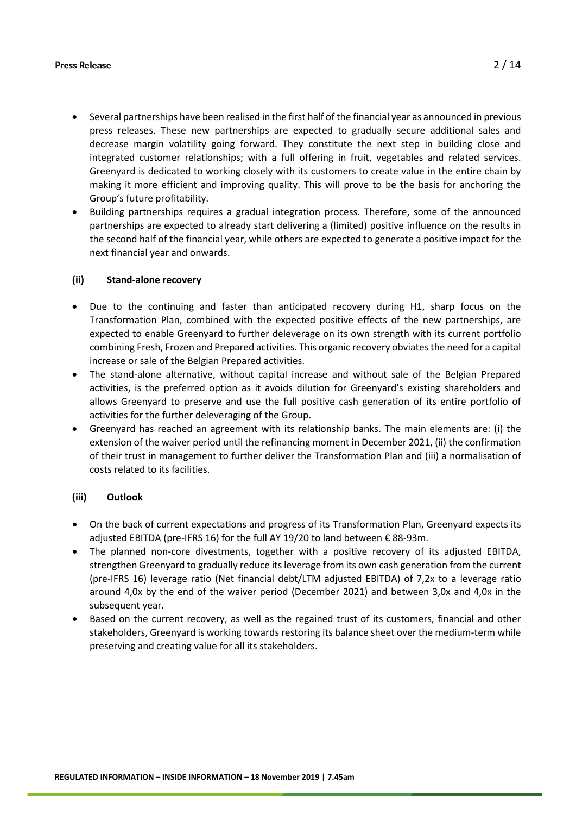- Several partnerships have been realised in the first half of the financial year as announced in previous press releases. These new partnerships are expected to gradually secure additional sales and decrease margin volatility going forward. They constitute the next step in building close and integrated customer relationships; with a full offering in fruit, vegetables and related services. Greenyard is dedicated to working closely with its customers to create value in the entire chain by making it more efficient and improving quality. This will prove to be the basis for anchoring the Group's future profitability.
- Building partnerships requires a gradual integration process. Therefore, some of the announced partnerships are expected to already start delivering a (limited) positive influence on the results in the second half of the financial year, while others are expected to generate a positive impact for the next financial year and onwards.

#### **(ii) Stand-alone recovery**

- Due to the continuing and faster than anticipated recovery during H1, sharp focus on the Transformation Plan, combined with the expected positive effects of the new partnerships, are expected to enable Greenyard to further deleverage on its own strength with its current portfolio combining Fresh, Frozen and Prepared activities. This organic recovery obviatesthe need for a capital increase or sale of the Belgian Prepared activities.
- The stand-alone alternative, without capital increase and without sale of the Belgian Prepared activities, is the preferred option as it avoids dilution for Greenyard's existing shareholders and allows Greenyard to preserve and use the full positive cash generation of its entire portfolio of activities for the further deleveraging of the Group.
- Greenyard has reached an agreement with its relationship banks. The main elements are: (i) the extension of the waiver period until the refinancing moment in December 2021, (ii) the confirmation of their trust in management to further deliver the Transformation Plan and (iii) a normalisation of costs related to its facilities.

#### **(iii) Outlook**

- On the back of current expectations and progress of its Transformation Plan, Greenyard expects its adjusted EBITDA (pre-IFRS 16) for the full AY 19/20 to land between € 88-93m.
- The planned non-core divestments, together with a positive recovery of its adjusted EBITDA, strengthen Greenyard to gradually reduce its leverage from its own cash generation from the current (pre-IFRS 16) leverage ratio (Net financial debt/LTM adjusted EBITDA) of 7,2x to a leverage ratio around 4,0x by the end of the waiver period (December 2021) and between 3,0x and 4,0x in the subsequent year.
- Based on the current recovery, as well as the regained trust of its customers, financial and other stakeholders, Greenyard is working towards restoring its balance sheet over the medium-term while preserving and creating value for all its stakeholders.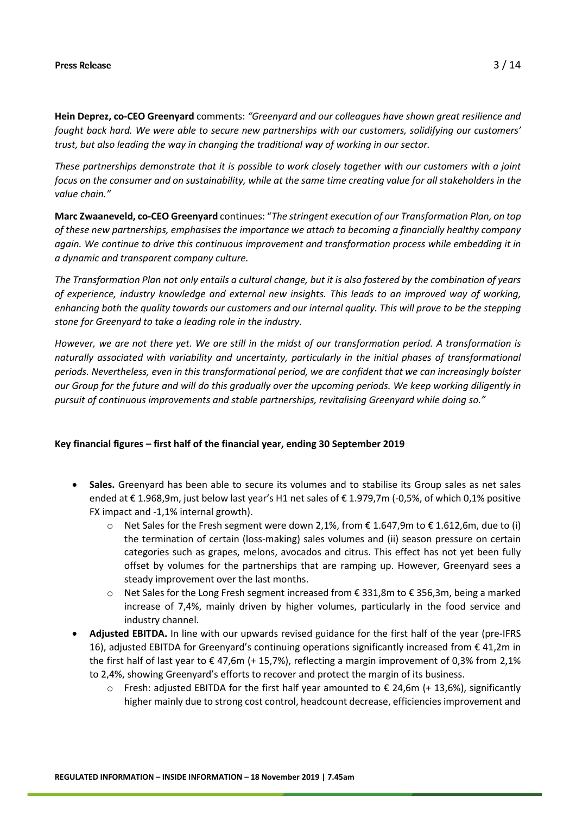**Hein Deprez, co-CEO Greenyard** comments: *"Greenyard and our colleagues have shown great resilience and fought back hard. We were able to secure new partnerships with our customers, solidifying our customers' trust, but also leading the way in changing the traditional way of working in our sector.* 

*These partnerships demonstrate that it is possible to work closely together with our customers with a joint focus on the consumer and on sustainability, while at the same time creating value for all stakeholders in the value chain."*

**Marc Zwaaneveld, co-CEO Greenyard** continues: "*The stringent execution of our Transformation Plan, on top of these new partnerships, emphasises the importance we attach to becoming a financially healthy company again. We continue to drive this continuous improvement and transformation process while embedding it in a dynamic and transparent company culture.* 

*The Transformation Plan not only entails a cultural change, but it is also fostered by the combination of years of experience, industry knowledge and external new insights. This leads to an improved way of working, enhancing both the quality towards our customers and our internal quality. This will prove to be the stepping stone for Greenyard to take a leading role in the industry.* 

*However, we are not there yet. We are still in the midst of our transformation period. A transformation is naturally associated with variability and uncertainty, particularly in the initial phases of transformational periods. Nevertheless, even in this transformational period, we are confident that we can increasingly bolster our Group for the future and will do this gradually over the upcoming periods. We keep working diligently in pursuit of continuous improvements and stable partnerships, revitalising Greenyard while doing so."*

#### **Key financial figures – first half of the financial year, ending 30 September 2019**

- **Sales.** Greenyard has been able to secure its volumes and to stabilise its Group sales as net sales ended at € 1.968,9m, just below last year's H1 net sales of € 1.979,7m (-0,5%, of which 0,1% positive FX impact and -1,1% internal growth).
	- $\circ$  Net Sales for the Fresh segment were down 2,1%, from € 1.647,9m to € 1.612,6m, due to (i) the termination of certain (loss-making) sales volumes and (ii) season pressure on certain categories such as grapes, melons, avocados and citrus. This effect has not yet been fully offset by volumes for the partnerships that are ramping up. However, Greenyard sees a steady improvement over the last months.
	- o Net Sales for the Long Fresh segment increased from € 331,8m to € 356,3m, being a marked increase of 7,4%, mainly driven by higher volumes, particularly in the food service and industry channel.
- **Adjusted EBITDA.** In line with our upwards revised guidance for the first half of the year (pre-IFRS 16), adjusted EBITDA for Greenyard's continuing operations significantly increased from € 41,2m in the first half of last year to € 47,6m (+ 15,7%), reflecting a margin improvement of 0,3% from 2,1% to 2,4%, showing Greenyard's efforts to recover and protect the margin of its business.
	- $\circ$  Fresh: adjusted EBITDA for the first half year amounted to € 24,6m (+ 13,6%), significantly higher mainly due to strong cost control, headcount decrease, efficiencies improvement and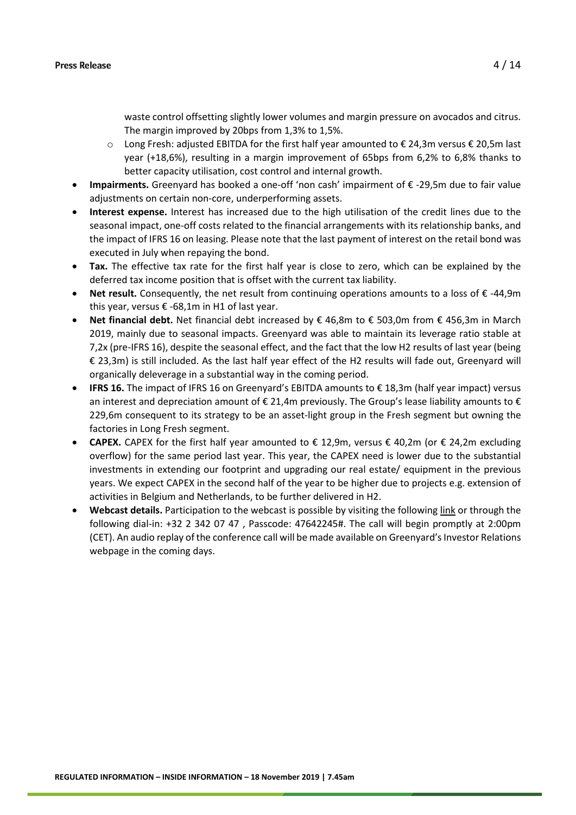waste control offsetting slightly lower volumes and margin pressure on avocados and citrus. The margin improved by 20bps from 1,3% to 1,5%.

- $\circ$  Long Fresh: adjusted EBITDA for the first half year amounted to € 24,3m versus € 20,5m last year (+18,6%), resulting in a margin improvement of 65bps from 6,2% to 6,8% thanks to better capacity utilisation, cost control and internal growth.
- **Impairments.** Greenyard has booked a one-off 'non cash' impairment of € -29,5m due to fair value adjustments on certain non-core, underperforming assets.
- **Interest expense.** Interest has increased due to the high utilisation of the credit lines due to the seasonal impact, one-off costs related to the financial arrangements with its relationship banks, and the impact of IFRS 16 on leasing. Please note that the last payment of interest on the retail bond was executed in July when repaying the bond.
- **Tax.** The effective tax rate for the first half year is close to zero, which can be explained by the deferred tax income position that is offset with the current tax liability.
- **Net result.** Consequently, the net result from continuing operations amounts to a loss of € -44,9m this year, versus  $\epsilon$  -68,1m in H1 of last year.
- **Net financial debt.** Net financial debt increased by € 46,8m to € 503,0m from € 456,3m in March 2019, mainly due to seasonal impacts. Greenyard was able to maintain its leverage ratio stable at 7,2x (pre-IFRS 16), despite the seasonal effect, and the fact that the low H2 results of last year (being € 23,3m) is still included. As the last half year effect of the H2 results will fade out, Greenyard will organically deleverage in a substantial way in the coming period.
- **IFRS 16.** The impact of IFRS 16 on Greenyard's EBITDA amounts to € 18,3m (half year impact) versus an interest and depreciation amount of € 21,4m previously. The Group's lease liability amounts to € 229,6m consequent to its strategy to be an asset-light group in the Fresh segment but owning the factories in Long Fresh segment.
- **CAPEX.** CAPEX for the first half year amounted to  $€ 12,9m$ , versus  $€ 40,2m$  (or  $€ 24,2m$  excluding overflow) for the same period last year. This year, the CAPEX need is lower due to the substantial investments in extending our footprint and upgrading our real estate/ equipment in the previous years. We expect CAPEX in the second half of the year to be higher due to projects e.g. extension of activities in Belgium and Netherlands, to be further delivered in H2.
- **Webcast details.** Participation to the webcast is possible by visiting the following [link](https://globalmeet.webcasts.com/starthere.jsp?ei=1272618&tp_key=27b11f305a) or through the following dial-in: +32 2 342 07 47 , Passcode: 47642245#. The call will begin promptly at 2:00pm (CET). An audio replay of the conference call will be made available on Greenyard's Investor Relations webpage in the coming days.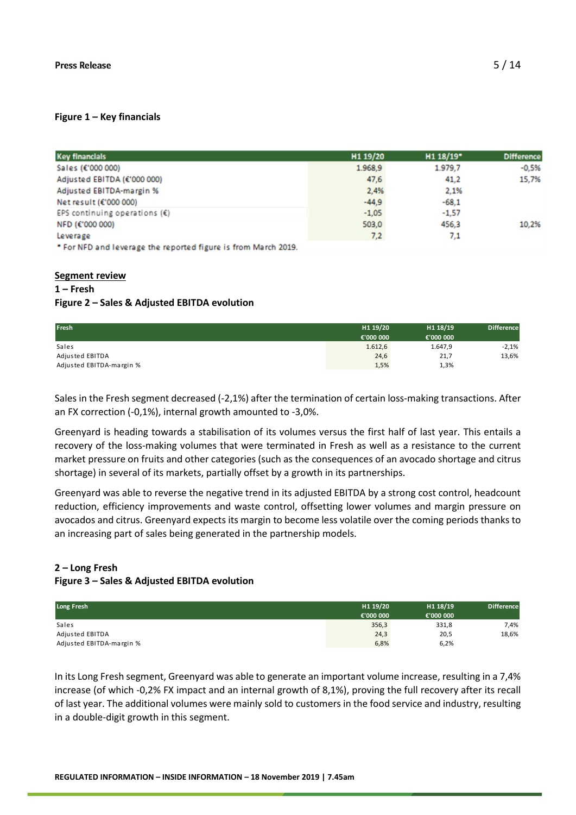### **Figure 1 – Key financials**

| <b>Key financials</b>                                          | H <sub>1</sub> 19/20 | $H1 18/19$ <sup>*</sup> | <b>Difference</b> |
|----------------------------------------------------------------|----------------------|-------------------------|-------------------|
| Sales (€'000 000)                                              | 1.968,9              | 1.979.7                 | $-0.5%$           |
| Adjusted EBITDA (€'000 000)                                    | 47,6                 | 41.2                    | 15,7%             |
| Adjusted EBITDA-margin %                                       | 2.4%                 | 2.1%                    |                   |
| Net result (€'000 000)                                         | $-44.9$              | $-68.1$                 |                   |
| EPS continuing operations $(\hat{\epsilon})$                   | $-1.05$              | $-1.57$                 |                   |
| NFD (€'000 000)                                                | 503.0                | 456.3                   | 10.2%             |
| Leverage                                                       | 7,2                  | 7.1                     |                   |
| * For NFD and leverage the reported figure is from March 2019. |                      |                         |                   |

#### **Segment review 1 – Fresh**

### **Figure 2 – Sales & Adjusted EBITDA evolution**

| <b>Fresh</b>             | H1 19/20  | H1 18/19  | <b>Difference</b> |
|--------------------------|-----------|-----------|-------------------|
|                          | €'000 000 | €'000 000 |                   |
| Sales                    | 1.612,6   | 1.647,9   | $-2,1%$           |
| Adjusted EBITDA          | 24,6      | 21,7      | 13,6%             |
| Adjusted EBITDA-margin % | 1,5%      | 1,3%      |                   |

Sales in the Fresh segment decreased (-2,1%) after the termination of certain loss-making transactions. After an FX correction (-0,1%), internal growth amounted to -3,0%.

Greenyard is heading towards a stabilisation of its volumes versus the first half of last year. This entails a recovery of the loss-making volumes that were terminated in Fresh as well as a resistance to the current market pressure on fruits and other categories (such as the consequences of an avocado shortage and citrus shortage) in several of its markets, partially offset by a growth in its partnerships.

Greenyard was able to reverse the negative trend in its adjusted EBITDA by a strong cost control, headcount reduction, efficiency improvements and waste control, offsetting lower volumes and margin pressure on avocados and citrus. Greenyard expects its margin to become less volatile over the coming periods thanks to an increasing part of sales being generated in the partnership models.

#### **2 – Long Fresh**

#### **Figure 3 – Sales & Adjusted EBITDA evolution**

| Long Fresh               | H1 19/20  | H1 18/19  | <b>Difference</b> |
|--------------------------|-----------|-----------|-------------------|
|                          | €'000 000 | €'000 000 |                   |
| Sales                    | 356,3     | 331,8     | 7,4%              |
| Adjusted EBITDA          | 24,3      | 20,5      | 18,6%             |
| Adjusted EBITDA-margin % | 6,8%      | 6,2%      |                   |

In its Long Fresh segment, Greenyard was able to generate an important volume increase, resulting in a 7,4% increase (of which -0,2% FX impact and an internal growth of 8,1%), proving the full recovery after its recall of last year. The additional volumes were mainly sold to customers in the food service and industry, resulting in a double-digit growth in this segment.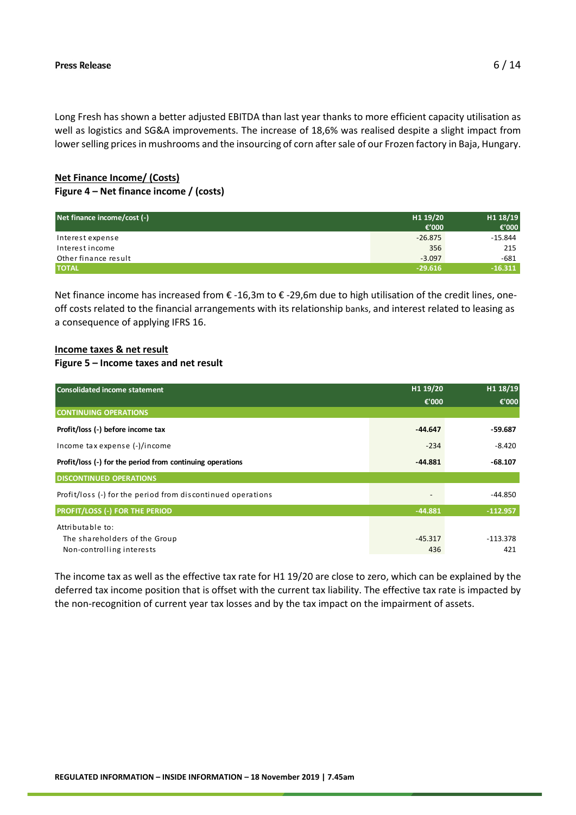Long Fresh has shown a better adjusted EBITDA than last year thanks to more efficient capacity utilisation as well as logistics and SG&A improvements. The increase of 18,6% was realised despite a slight impact from lower selling prices in mushrooms and the insourcing of corn after sale of our Frozen factory in Baja, Hungary.

### **Net Finance Income/ (Costs) Figure 4 – Net finance income / (costs)**

| Net finance income/cost (-) | H1 19/20  | H1 18/19  |
|-----------------------------|-----------|-----------|
|                             | €'000     | € $'000$  |
| Interest expense            | $-26.875$ | $-15.844$ |
| Interest income             | 356       | 215       |
| Other finance result        | $-3.097$  | $-681$    |
| <b>TOTAL</b>                | $-29.616$ | $-16.311$ |

Net finance income has increased from € -16,3m to € -29,6m due to high utilisation of the credit lines, oneoff costs related to the financial arrangements with its relationship banks, and interest related to leasing as a consequence of applying IFRS 16.

## **Income taxes & net result**

#### **Figure 5 – Income taxes and net result**

| <b>Consolidated income statement</b>                        | H1 19/20        | H1 18/19   |
|-------------------------------------------------------------|-----------------|------------|
|                                                             | €'000           | €'000      |
| <b>CONTINUING OPERATIONS</b>                                |                 |            |
| Profit/loss (-) before income tax                           | $-44.647$       | -59.687    |
| Income tax expense (-)/income                               | $-234$          | $-8.420$   |
| Profit/loss (-) for the period from continuing operations   | $-44.881$       | $-68.107$  |
| <b>DISCONTINUED OPERATIONS</b>                              |                 |            |
| Profit/loss (-) for the period from discontinued operations | $\qquad \qquad$ | $-44.850$  |
| <b>PROFIT/LOSS (-) FOR THE PERIOD</b>                       | $-44.881$       | $-112.957$ |
| Attributable to:                                            |                 |            |
| The shareholders of the Group                               | $-45.317$       | $-113.378$ |
| Non-controlling interests                                   | 436             | 421        |

The income tax as well as the effective tax rate for H1 19/20 are close to zero, which can be explained by the deferred tax income position that is offset with the current tax liability. The effective tax rate is impacted by the non-recognition of current year tax losses and by the tax impact on the impairment of assets.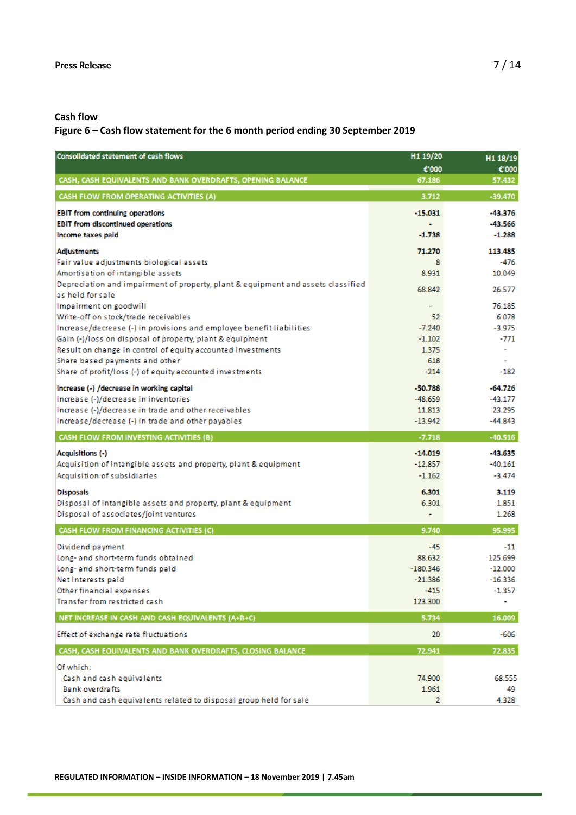# **Cash flow**

### **Figure 6 – Cash flow statement for the 6 month period ending 30 September 2019**

| <b>Consolidated statement of cash flows</b>                                                 | H1 19/20             | H1 18/19             |
|---------------------------------------------------------------------------------------------|----------------------|----------------------|
|                                                                                             | €'000                | €'000                |
| CASH, CASH EQUIVALENTS AND BANK OVERDRAFTS, OPENING BALANCE                                 | 67.186               | 57.432               |
| CASH FLOW FROM OPERATING ACTIVITIES (A)                                                     | 3.712                | $-39.470$            |
| <b>EBIT from continuing operations</b>                                                      | $-15.031$            | -43.376              |
| <b>EBIT from discontinued operations</b>                                                    | ÷                    | -43.566              |
| Income taxes paid                                                                           | $-1.738$             | $-1.288$             |
| <b>Adjustments</b>                                                                          | 71.270               | 113.485              |
| Fair value adjustments biological assets                                                    | 8                    | -476                 |
| Amortisation of intangible assets                                                           | 8.931                | 10.049               |
| Depreciation and impairment of property, plant & equipment and assets classified            | 68.842               | 26.577               |
| as held for sale                                                                            |                      |                      |
| Impairment on goodwill<br>Write-off on stock/trade receivables                              | ۰<br>52              | 76.185<br>6.078      |
| Increase/decrease (-) in provisions and employee benefit liabilities                        | $-7.240$             | $-3.975$             |
| Gain (-)/loss on disposal of property, plant & equipment                                    | $-1.102$             | -771                 |
| Result on change in control of equity accounted investments                                 | 1.375                |                      |
| Share based payments and other                                                              | 618                  |                      |
| Share of profit/loss (-) of equity accounted investments                                    | $-214$               | $-182$               |
| Increase (-) /decrease in working capital                                                   | $-50.788$            | $-64.726$            |
| Increase (-)/decrease in inventories                                                        | $-48.659$            | $-43.177$            |
| Increase (-)/decrease in trade and other receivables                                        | 11.813               | 23.295               |
| Increase/decrease (-) in trade and other payables                                           | $-13.942$            | $-44.843$            |
| CASH FLOW FROM INVESTING ACTIVITIES (B)                                                     | $-7.718$             | $-40.516$            |
| <b>Acquisitions (-)</b>                                                                     | $-14.019$            | $-43.635$            |
| Acquisition of intangible assets and property, plant & equipment                            | $-12.857$            | $-40.161$            |
| Acquisition of subsidiaries                                                                 | $-1.162$             | $-3.474$             |
| <b>Disposals</b>                                                                            | 6.301                | 3.119                |
| Disposal of intangible assets and property, plant & equipment                               | 6.301                | 1.851                |
| Disposal of associates/joint ventures                                                       | ÷                    | 1.268                |
| CASH FLOW FROM FINANCING ACTIVITIES (C)                                                     | 9.740                | 95.995               |
|                                                                                             |                      |                      |
| Dividend payment                                                                            | -45                  | $-11$                |
| Long- and short-term funds obtained                                                         | 88.632<br>$-180.346$ | 125.699<br>$-12.000$ |
| Long- and short-term funds paid<br>Net interests paid                                       | $-21.386$            | $-16.336$            |
| Other financial expenses                                                                    | $-415$               | -1.357               |
| Transfer from restricted cash                                                               | 123.300              |                      |
| NET INCREASE IN CASH AND CASH EQUIVALENTS (A+B+C)                                           | 5.734                | 16.009               |
|                                                                                             | 20                   | -606                 |
| Effect of exchange rate fluctuations                                                        |                      |                      |
| CASH, CASH EQUIVALENTS AND BANK OVERDRAFTS, CLOSING BALANCE                                 | 72.941               | 72.835               |
| Of which:                                                                                   |                      |                      |
|                                                                                             |                      |                      |
| Cash and cash equivalents                                                                   | 74.900               | 68.555               |
| <b>Bank overdrafts</b><br>Cash and cash equivalents related to disposal group held for sale | 1.961<br>2           | 49<br>4.328          |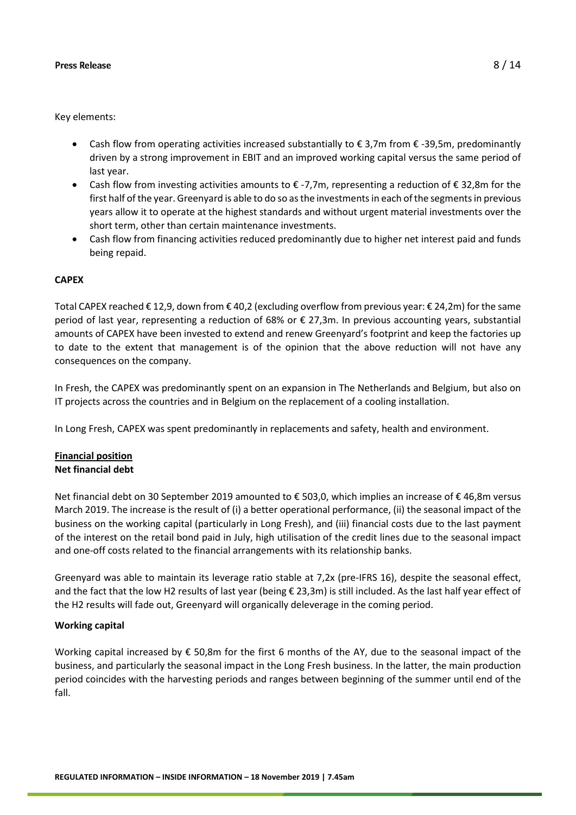Key elements:

- Cash flow from operating activities increased substantially to € 3.7m from € -39.5m, predominantly driven by a strong improvement in EBIT and an improved working capital versus the same period of last year.
- Cash flow from investing activities amounts to  $\epsilon$  -7,7m, representing a reduction of  $\epsilon$  32,8m for the first half of the year. Greenyard is able to do so as the investments in each of the segments in previous years allow it to operate at the highest standards and without urgent material investments over the short term, other than certain maintenance investments.
- Cash flow from financing activities reduced predominantly due to higher net interest paid and funds being repaid.

### **CAPEX**

Total CAPEX reached € 12,9, down from € 40,2 (excluding overflow from previous year: € 24,2m) for the same period of last year, representing a reduction of 68% or € 27,3m. In previous accounting years, substantial amounts of CAPEX have been invested to extend and renew Greenyard's footprint and keep the factories up to date to the extent that management is of the opinion that the above reduction will not have any consequences on the company.

In Fresh, the CAPEX was predominantly spent on an expansion in The Netherlands and Belgium, but also on IT projects across the countries and in Belgium on the replacement of a cooling installation.

In Long Fresh, CAPEX was spent predominantly in replacements and safety, health and environment.

### **Financial position Net financial debt**

Net financial debt on 30 September 2019 amounted to € 503,0, which implies an increase of € 46,8m versus March 2019. The increase is the result of (i) a better operational performance, (ii) the seasonal impact of the business on the working capital (particularly in Long Fresh), and (iii) financial costs due to the last payment of the interest on the retail bond paid in July, high utilisation of the credit lines due to the seasonal impact and one-off costs related to the financial arrangements with its relationship banks.

Greenyard was able to maintain its leverage ratio stable at 7,2x (pre-IFRS 16), despite the seasonal effect, and the fact that the low H2 results of last year (being  $\epsilon$  23,3m) is still included. As the last half year effect of the H2 results will fade out, Greenyard will organically deleverage in the coming period.

#### **Working capital**

Working capital increased by € 50,8m for the first 6 months of the AY, due to the seasonal impact of the business, and particularly the seasonal impact in the Long Fresh business. In the latter, the main production period coincides with the harvesting periods and ranges between beginning of the summer until end of the fall.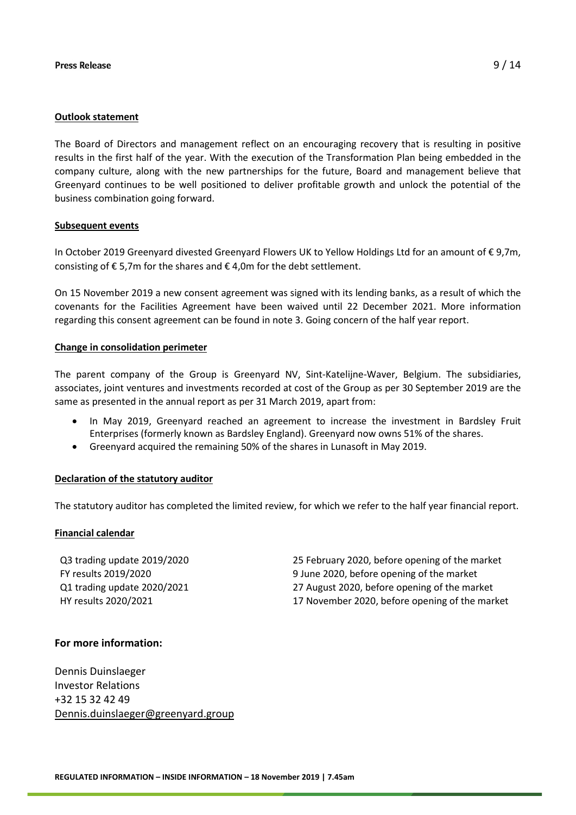#### **Outlook statement**

The Board of Directors and management reflect on an encouraging recovery that is resulting in positive results in the first half of the year. With the execution of the Transformation Plan being embedded in the company culture, along with the new partnerships for the future, Board and management believe that Greenyard continues to be well positioned to deliver profitable growth and unlock the potential of the business combination going forward.

#### **Subsequent events**

In October 2019 Greenyard divested Greenyard Flowers UK to Yellow Holdings Ltd for an amount of € 9,7m, consisting of  $\epsilon$  5,7m for the shares and  $\epsilon$  4,0m for the debt settlement.

On 15 November 2019 a new consent agreement was signed with its lending banks, as a result of which the covenants for the Facilities Agreement have been waived until 22 December 2021. More information regarding this consent agreement can be found in note 3. Going concern of the half year report.

#### **Change in consolidation perimeter**

The parent company of the Group is Greenyard NV, Sint-Katelijne-Waver, Belgium. The subsidiaries, associates, joint ventures and investments recorded at cost of the Group as per 30 September 2019 are the same as presented in the annual report as per 31 March 2019, apart from:

- In May 2019, Greenyard reached an agreement to increase the investment in Bardsley Fruit Enterprises (formerly known as Bardsley England). Greenyard now owns 51% of the shares.
- Greenyard acquired the remaining 50% of the shares in Lunasoft in May 2019.

#### **Declaration of the statutory auditor**

The statutory auditor has completed the limited review, for which we refer to the half year financial report.

#### **Financial calendar**

Q3 trading update 2019/2020 25 February 2020, before opening of the market FY results 2019/2020 9 June 2020, before opening of the market Q1 trading update 2020/2021 27 August 2020, before opening of the market HY results 2020/2021 17 November 2020, before opening of the market

#### **For more information:**

Dennis Duinslaeger Investor Relations +32 15 32 42 49 [Dennis.duinslaeger@greenyard.group](mailto:Dennis.duinslaeger@greenyard.group)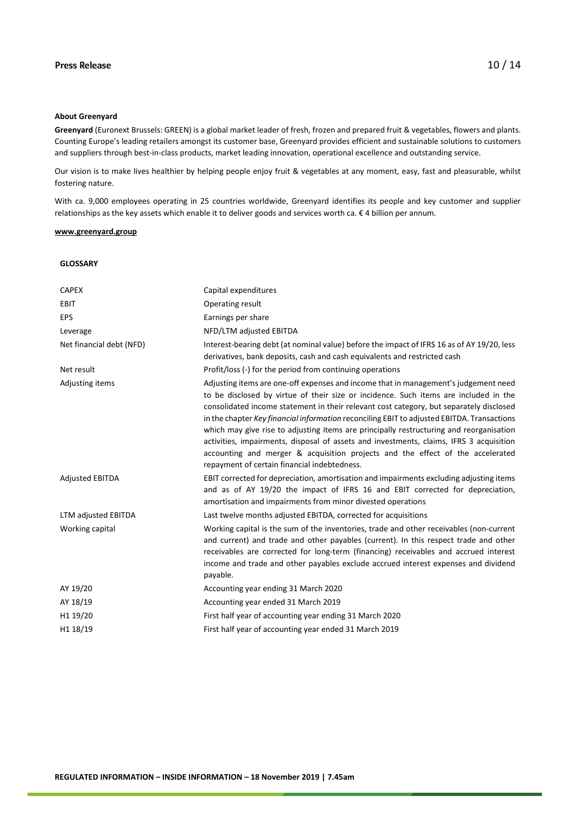#### **About Greenyard**

**Greenyard** (Euronext Brussels: GREEN) is a global market leader of fresh, frozen and prepared fruit & vegetables, flowers and plants. Counting Europe's leading retailers amongst its customer base, Greenyard provides efficient and sustainable solutions to customers and suppliers through best-in-class products, market leading innovation, operational excellence and outstanding service.

Our vision is to make lives healthier by helping people enjoy fruit & vegetables at any moment, easy, fast and pleasurable, whilst fostering nature.

With ca. 9,000 employees operating in 25 countries worldwide, Greenyard identifies its people and key customer and supplier relationships as the key assets which enable it to deliver goods and services worth ca. € 4 billion per annum.

#### **[www.greenyard.group](http://www.greenyard.group/)**

#### **GLOSSARY**

| <b>CAPEX</b>             | Capital expenditures                                                                                                                                                                                                                                                                                                                                                                                                                                                                                                                                                                                                                                                                         |
|--------------------------|----------------------------------------------------------------------------------------------------------------------------------------------------------------------------------------------------------------------------------------------------------------------------------------------------------------------------------------------------------------------------------------------------------------------------------------------------------------------------------------------------------------------------------------------------------------------------------------------------------------------------------------------------------------------------------------------|
| EBIT                     | Operating result                                                                                                                                                                                                                                                                                                                                                                                                                                                                                                                                                                                                                                                                             |
| <b>EPS</b>               | Earnings per share                                                                                                                                                                                                                                                                                                                                                                                                                                                                                                                                                                                                                                                                           |
| Leverage                 | NFD/LTM adjusted EBITDA                                                                                                                                                                                                                                                                                                                                                                                                                                                                                                                                                                                                                                                                      |
| Net financial debt (NFD) | Interest-bearing debt (at nominal value) before the impact of IFRS 16 as of AY 19/20, less<br>derivatives, bank deposits, cash and cash equivalents and restricted cash                                                                                                                                                                                                                                                                                                                                                                                                                                                                                                                      |
| Net result               | Profit/loss (-) for the period from continuing operations                                                                                                                                                                                                                                                                                                                                                                                                                                                                                                                                                                                                                                    |
| Adjusting items          | Adjusting items are one-off expenses and income that in management's judgement need<br>to be disclosed by virtue of their size or incidence. Such items are included in the<br>consolidated income statement in their relevant cost category, but separately disclosed<br>in the chapter Key financial information reconciling EBIT to adjusted EBITDA. Transactions<br>which may give rise to adjusting items are principally restructuring and reorganisation<br>activities, impairments, disposal of assets and investments, claims, IFRS 3 acquisition<br>accounting and merger & acquisition projects and the effect of the accelerated<br>repayment of certain financial indebtedness. |
| <b>Adjusted EBITDA</b>   | EBIT corrected for depreciation, amortisation and impairments excluding adjusting items<br>and as of AY 19/20 the impact of IFRS 16 and EBIT corrected for depreciation,<br>amortisation and impairments from minor divested operations                                                                                                                                                                                                                                                                                                                                                                                                                                                      |
| LTM adjusted EBITDA      | Last twelve months adjusted EBITDA, corrected for acquisitions                                                                                                                                                                                                                                                                                                                                                                                                                                                                                                                                                                                                                               |
| Working capital          | Working capital is the sum of the inventories, trade and other receivables (non-current<br>and current) and trade and other payables (current). In this respect trade and other<br>receivables are corrected for long-term (financing) receivables and accrued interest<br>income and trade and other payables exclude accrued interest expenses and dividend<br>payable.                                                                                                                                                                                                                                                                                                                    |
| AY 19/20                 | Accounting year ending 31 March 2020                                                                                                                                                                                                                                                                                                                                                                                                                                                                                                                                                                                                                                                         |
| AY 18/19                 | Accounting year ended 31 March 2019                                                                                                                                                                                                                                                                                                                                                                                                                                                                                                                                                                                                                                                          |
| H1 19/20                 | First half year of accounting year ending 31 March 2020                                                                                                                                                                                                                                                                                                                                                                                                                                                                                                                                                                                                                                      |
| H1 18/19                 | First half year of accounting year ended 31 March 2019                                                                                                                                                                                                                                                                                                                                                                                                                                                                                                                                                                                                                                       |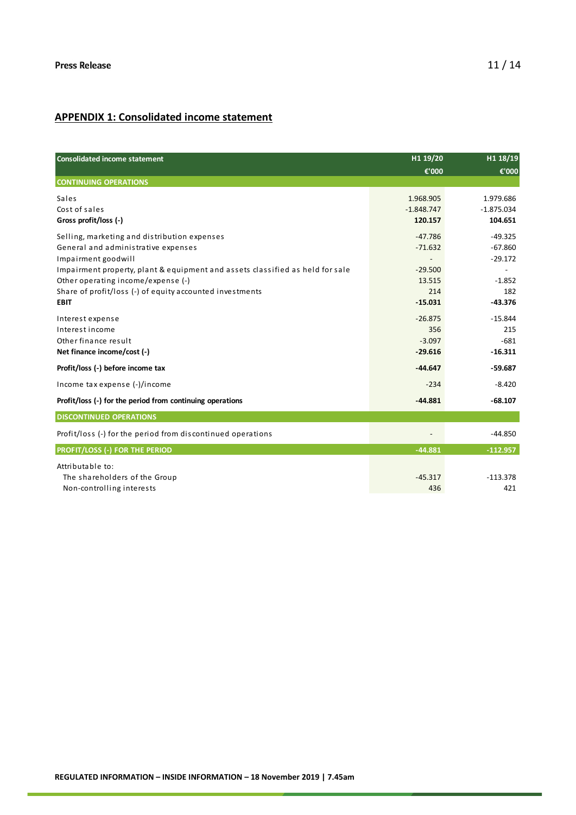# **APPENDIX 1: Consolidated income statement**

| <b>Consolidated income statement</b>                                          | H1 19/20     | H1 18/19     |  |
|-------------------------------------------------------------------------------|--------------|--------------|--|
|                                                                               | €'000        | €'000        |  |
| <b>CONTINUING OPERATIONS</b>                                                  |              |              |  |
| Sales                                                                         | 1.968.905    | 1.979.686    |  |
| Cost of sales                                                                 | $-1.848.747$ | $-1.875.034$ |  |
| Gross profit/loss (-)                                                         | 120.157      | 104.651      |  |
| Selling, marketing and distribution expenses                                  | $-47.786$    | $-49.325$    |  |
| General and administrative expenses                                           | $-71.632$    | $-67.860$    |  |
| Impairment goodwill                                                           |              | $-29.172$    |  |
| Impairment property, plant & equipment and assets classified as held for sale | $-29.500$    |              |  |
| Other operating income/expense (-)                                            | 13.515       | $-1.852$     |  |
| Share of profit/loss (-) of equity accounted investments                      | 214          | 182          |  |
| <b>EBIT</b>                                                                   | $-15.031$    | $-43.376$    |  |
| Interest expense                                                              | $-26.875$    | $-15.844$    |  |
| Interest income                                                               | 356          | 215          |  |
| Other finance result                                                          | $-3.097$     | $-681$       |  |
| Net finance income/cost (-)                                                   | $-29.616$    | $-16.311$    |  |
| Profit/loss (-) before income tax                                             | $-44.647$    | $-59.687$    |  |
| Income tax expense (-)/income                                                 | $-234$       | $-8.420$     |  |
| Profit/loss (-) for the period from continuing operations                     | $-44.881$    | $-68.107$    |  |
| <b>DISCONTINUED OPERATIONS</b>                                                |              |              |  |
| Profit/loss (-) for the period from discontinued operations                   |              | $-44.850$    |  |
| <b>PROFIT/LOSS (-) FOR THE PERIOD</b>                                         | $-44.881$    | $-112.957$   |  |
| Attributable to:                                                              |              |              |  |
| The shareholders of the Group                                                 | $-45.317$    | $-113.378$   |  |
| Non-controlling interests                                                     | 436          | 421          |  |
|                                                                               |              |              |  |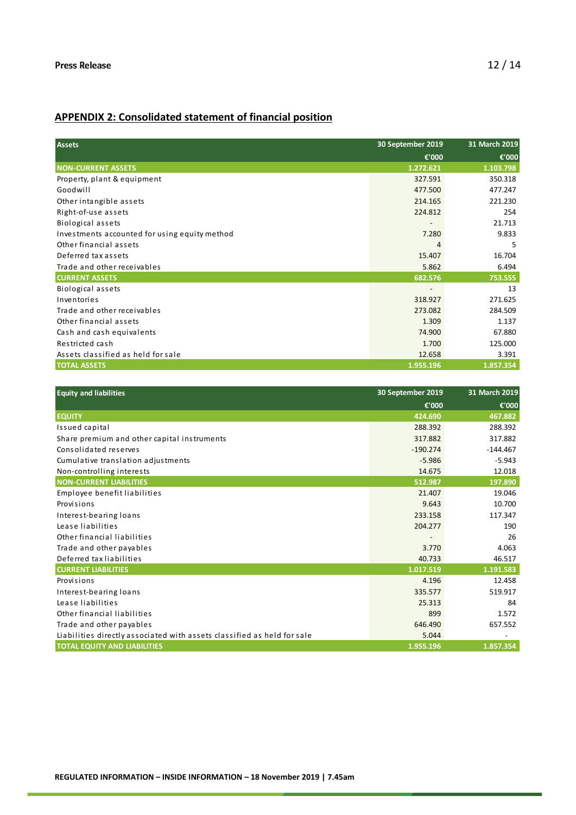# **APPENDIX 2: Consolidated statement of financial position**

| <b>Assets</b>                                 | 30 September 2019        | 31 March 2019 |
|-----------------------------------------------|--------------------------|---------------|
|                                               | €'000                    | €'000         |
| <b>NON-CURRENT ASSETS</b>                     | 1.272.621                | 1.103.798     |
| Property, plant & equipment                   | 327.591                  | 350.318       |
| Goodwill                                      | 477.500                  | 477.247       |
| Other intangible assets                       | 214.165                  | 221.230       |
| Right-of-use assets                           | 224.812                  | 254           |
| <b>Biological assets</b>                      | $\overline{\phantom{a}}$ | 21.713        |
| Investments accounted for using equity method | 7.280                    | 9.833         |
| Other financial assets                        |                          | 5             |
| Deferred tax assets                           | 15.407                   | 16.704        |
| Trade and other receivables                   | 5.862                    | 6.494         |
| <b>CURRENT ASSETS</b>                         | 682.576                  | 753.555       |
| Biological assets                             |                          | 13            |
| Inventories                                   | 318.927                  | 271.625       |
| Trade and other receivables                   | 273.082                  | 284.509       |
| Other financial assets                        | 1.309                    | 1.137         |
| Cash and cash equivalents                     | 74.900                   | 67.880        |
| Restricted cash                               | 1.700                    | 125.000       |
| Assets classified as held for sale            | 12.658                   | 3.391         |
| <b>TOTAL ASSETS</b>                           | 1.955.196                | 1.857.354     |

| <b>Equity and liabilities</b>                                           | 30 September 2019 | 31 March 2019 |
|-------------------------------------------------------------------------|-------------------|---------------|
|                                                                         | €'000             | €'000         |
| <b>EQUITY</b>                                                           | 424.690           | 467.882       |
| Issued capital                                                          | 288.392           | 288.392       |
| Share premium and other capital instruments                             | 317.882           | 317.882       |
| Consolidated reserves                                                   | $-190.274$        | $-144.467$    |
| Cumulative translation adjustments                                      | $-5.986$          | $-5.943$      |
| Non-controlling interests                                               | 14.675            | 12.018        |
| <b>NON-CURRENT LIABILITIES</b>                                          | 512.987           | 197.890       |
| Employee benefit liabilities                                            | 21.407            | 19.046        |
| Provisions                                                              | 9.643             | 10.700        |
| Interest-bearing loans                                                  | 233.158           | 117.347       |
| Lease liabilities                                                       | 204.277           | 190           |
| Other financial liabilities                                             |                   | 26            |
| Trade and other payables                                                | 3.770             | 4.063         |
| Deferred tax liabilities                                                | 40.733            | 46.517        |
| <b>CURRENT LIABILITIES</b>                                              | 1.017.519         | 1.191.583     |
| Provisions                                                              | 4.196             | 12.458        |
| Interest-bearing loans                                                  | 335.577           | 519.917       |
| Lease liabilities                                                       | 25.313            | 84            |
| Other financial liabilities                                             | 899               | 1.572         |
| Trade and other payables                                                | 646.490           | 657.552       |
| Liabilities directly associated with assets classified as held for sale | 5.044             |               |
| <b>TOTAL EQUITY AND LIABILITIES</b>                                     | 1.955.196         | 1.857.354     |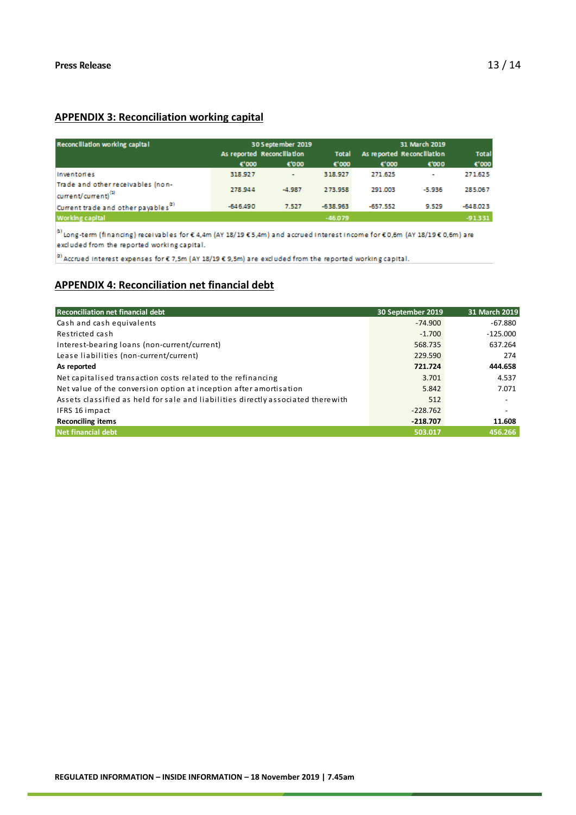# **APPENDIX 3: Reconciliation working capital**

| Reconcillation working capital                                       |                    | 30 September 2019          |                    |                            | 31 March 2019 |                    |  |
|----------------------------------------------------------------------|--------------------|----------------------------|--------------------|----------------------------|---------------|--------------------|--|
|                                                                      |                    | As reported Reconcillation | <b>Total</b>       | As reported Reconcillation |               | <b>Total</b>       |  |
|                                                                      | $\varepsilon$ '000 | €'000                      | $\varepsilon$ '000 | $\varepsilon$ '000         | €'000         | $\varepsilon$ '000 |  |
| Inventories                                                          | 318,927            | ٠                          | 318.927            | 271.625                    | ۰             | 271.625            |  |
| Trade and other receivables (non-<br>current/current) <sup>(1)</sup> | 278.944            | $-4.987$                   | 273.958            | 291.003                    | $-5.936$      | 285.067            |  |
| Current trade and other payables <sup>[2]</sup>                      | $-646,490$         | 7.527                      | $-638.963$         | $-657.552$                 | 9.529         | $-648.023$         |  |
| Working capital                                                      |                    |                            | $-46079$           |                            |               | -91331             |  |

<sup>0</sup> Long-term (financing) receivables for € 4,4m (AY 18/19 € 5,4m) and accrued interest income for € 0,6m (AY 18/19 € 0,6m) are excluded from the reported working capital.

<sup>(2)</sup> Accrued Interest expenses for  $\epsilon$  7,5m (AY 18/19  $\epsilon$  9,5m) are excluded from the reported working capital.

### **APPENDIX 4: Reconciliation net financial debt**

| <b>Reconciliation net financial debt</b>                                         | 30 September 2019 | 31 March 2019            |
|----------------------------------------------------------------------------------|-------------------|--------------------------|
| Cash and cash equivalents                                                        | $-74.900$         | $-67.880$                |
| Restricted cash                                                                  | $-1.700$          | $-125.000$               |
| Interest-bearing loans (non-current/current)                                     | 568.735           | 637.264                  |
| Lease liabilities (non-current/current)                                          | 229.590           | 274                      |
| As reported                                                                      | 721.724           | 444.658                  |
| Net capitalised transaction costs related to the refinancing                     | 3.701             | 4.537                    |
| Net value of the conversion option at inception after amortisation               | 5.842             | 7.071                    |
| Assets classified as held for sale and liabilities directly associated therewith | 512               |                          |
| IFRS 16 impact                                                                   | $-228.762$        | $\overline{\phantom{a}}$ |
| <b>Reconciling items</b>                                                         | $-218.707$        | 11.608                   |
| Net financial debt                                                               | 503.017           | 456.266                  |